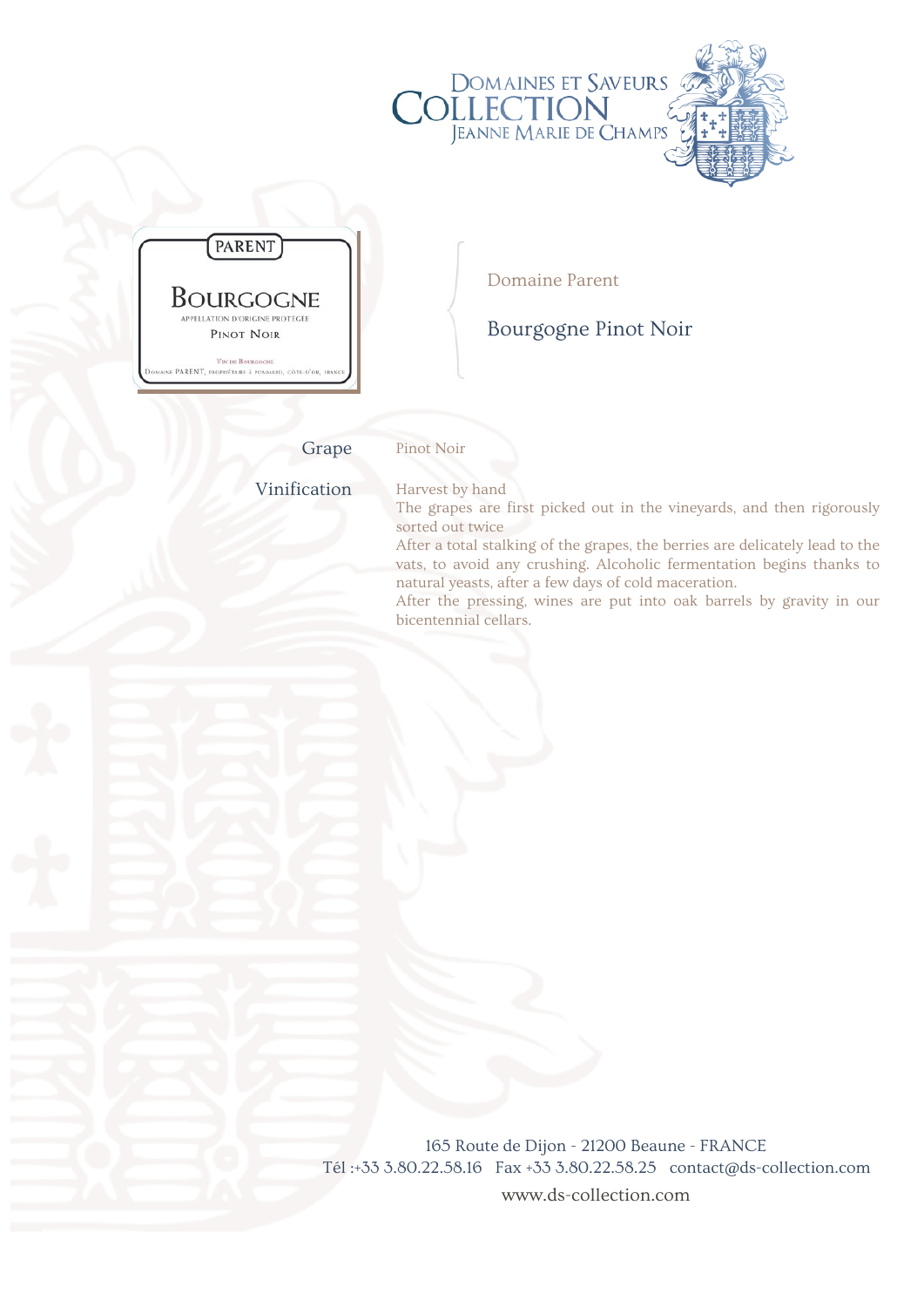

Grape Pinot Noir

Vinification Harvest by hand

The grapes are first picked out in the vineyards, and then rigorously sorted out twice

After a total stalking of the grapes, the berries are delicately lead to the vats, to avoid any crushing. Alcoholic fermentation begins thanks to natural yeasts, after a few days of cold maceration.

After the pressing, wines are put into oak barrels by gravity in our bicentennial cellars.

165 Route de Dijon - 21200 Beaune - FRANCE Tél :+33 3.80.22.58.16 Fax +33 3.80.22.58.25 contact@ds-collection.com www.ds-collection.com